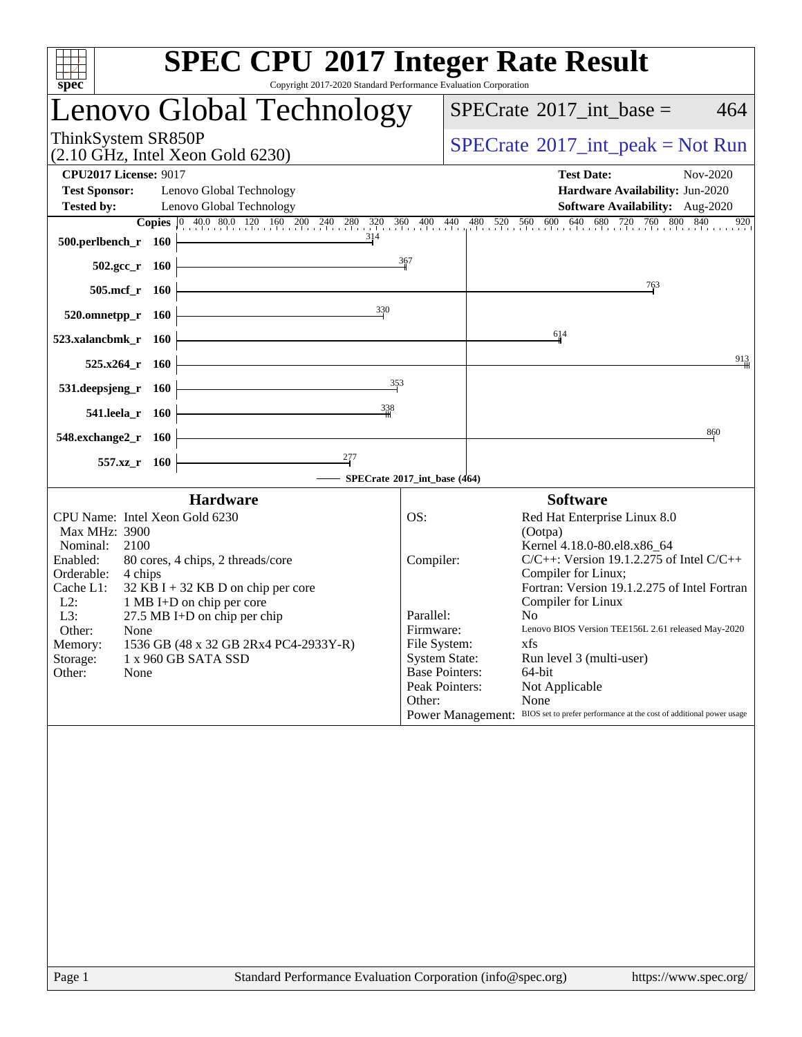| $spec^*$                                                                                                                                                        | <b>SPEC CPU®2017 Integer Rate Result</b><br>Copyright 2017-2020 Standard Performance Evaluation Corporation                                                                                                                              |                                                      |                                                                                                                                                                                                                                                                                                                                                                                                                                                                                                                                                     |          |
|-----------------------------------------------------------------------------------------------------------------------------------------------------------------|------------------------------------------------------------------------------------------------------------------------------------------------------------------------------------------------------------------------------------------|------------------------------------------------------|-----------------------------------------------------------------------------------------------------------------------------------------------------------------------------------------------------------------------------------------------------------------------------------------------------------------------------------------------------------------------------------------------------------------------------------------------------------------------------------------------------------------------------------------------------|----------|
|                                                                                                                                                                 | Lenovo Global Technology                                                                                                                                                                                                                 |                                                      | $SPECTate$ <sup>®</sup> 2017_int_base =                                                                                                                                                                                                                                                                                                                                                                                                                                                                                                             | 464      |
| ThinkSystem SR850P                                                                                                                                              | $(2.10 \text{ GHz}, \text{Intel Xeon Gold } 6230)$                                                                                                                                                                                       |                                                      | $SPECTate@2017_int\_peak = Not Run$                                                                                                                                                                                                                                                                                                                                                                                                                                                                                                                 |          |
| <b>CPU2017 License: 9017</b><br><b>Test Sponsor:</b><br><b>Tested by:</b>                                                                                       | Lenovo Global Technology<br>Lenovo Global Technology                                                                                                                                                                                     |                                                      | <b>Test Date:</b><br>Hardware Availability: Jun-2020<br>Software Availability: Aug-2020                                                                                                                                                                                                                                                                                                                                                                                                                                                             | Nov-2020 |
| 500.perlbench_r 160<br>$502.\text{gcc}_r$ 160                                                                                                                   | <b>Copies</b> 0 40.0 80.0 120 160 200 240 280 320 360 400 440 480 520 560 600 640 680 720 760 800 840<br>314                                                                                                                             | 367                                                  |                                                                                                                                                                                                                                                                                                                                                                                                                                                                                                                                                     | 920      |
| 505.mcf_r 160                                                                                                                                                   |                                                                                                                                                                                                                                          |                                                      | 763                                                                                                                                                                                                                                                                                                                                                                                                                                                                                                                                                 |          |
| $520.0$ mnetpp_r 160<br>523.xalancbmk r 160                                                                                                                     | 330                                                                                                                                                                                                                                      |                                                      | 614                                                                                                                                                                                                                                                                                                                                                                                                                                                                                                                                                 |          |
| 525.x264 r                                                                                                                                                      | - 160<br>353                                                                                                                                                                                                                             |                                                      |                                                                                                                                                                                                                                                                                                                                                                                                                                                                                                                                                     | 913      |
| 531.deepsjeng_r<br>541.leela_r 160                                                                                                                              | <b>160</b><br>338                                                                                                                                                                                                                        |                                                      |                                                                                                                                                                                                                                                                                                                                                                                                                                                                                                                                                     |          |
| 548.exchange2_r 160                                                                                                                                             |                                                                                                                                                                                                                                          |                                                      |                                                                                                                                                                                                                                                                                                                                                                                                                                                                                                                                                     | 860      |
| $557.xz$ _r                                                                                                                                                     | - 160<br>SPECrate*2017_int_base (464)                                                                                                                                                                                                    |                                                      |                                                                                                                                                                                                                                                                                                                                                                                                                                                                                                                                                     |          |
|                                                                                                                                                                 | <b>Hardware</b>                                                                                                                                                                                                                          |                                                      | <b>Software</b>                                                                                                                                                                                                                                                                                                                                                                                                                                                                                                                                     |          |
| Max MHz: 3900<br>2100<br>Nominal:<br>Enabled:<br>Orderable:<br>4 chips<br>Cache L1:<br>$L2$ :<br>L3:<br>Other:<br>None<br>Memory:<br>Storage:<br>Other:<br>None | CPU Name: Intel Xeon Gold 6230<br>80 cores, 4 chips, 2 threads/core<br>$32$ KB I + 32 KB D on chip per core<br>1 MB I+D on chip per core<br>27.5 MB I+D on chip per chip<br>1536 GB (48 x 32 GB 2Rx4 PC4-2933Y-R)<br>1 x 960 GB SATA SSD | OS:<br>Compiler:<br>Parallel:<br>Firmware:<br>Other: | Red Hat Enterprise Linux 8.0<br>(Ootpa)<br>Kernel 4.18.0-80.el8.x86 64<br>$C/C++$ : Version 19.1.2.275 of Intel $C/C++$<br>Compiler for Linux;<br>Fortran: Version 19.1.2.275 of Intel Fortran<br>Compiler for Linux<br>N <sub>0</sub><br>Lenovo BIOS Version TEE156L 2.61 released May-2020<br>File System:<br>xfs<br><b>System State:</b><br>Run level 3 (multi-user)<br><b>Base Pointers:</b><br>$64$ -bit<br>Peak Pointers:<br>Not Applicable<br>None<br>Power Management: BIOS set to prefer performance at the cost of additional power usage |          |
|                                                                                                                                                                 |                                                                                                                                                                                                                                          |                                                      |                                                                                                                                                                                                                                                                                                                                                                                                                                                                                                                                                     |          |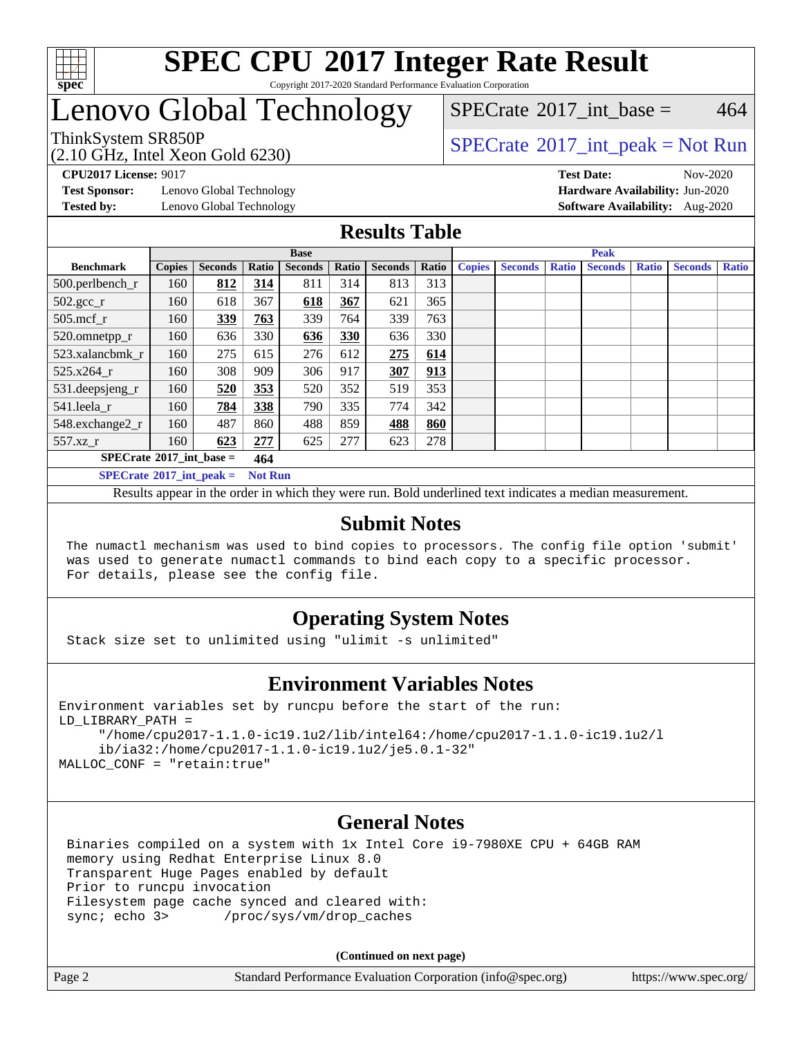

#### **[SPEC CPU](http://www.spec.org/auto/cpu2017/Docs/result-fields.html#SPECCPU2017IntegerRateResult)[2017 Integer Rate Result](http://www.spec.org/auto/cpu2017/Docs/result-fields.html#SPECCPU2017IntegerRateResult)** Copyright 2017-2020 Standard Performance Evaluation Corporation

### Lenovo Global Technology

(2.10 GHz, Intel Xeon Gold 6230)

ThinkSystem SR850P<br>  $\begin{array}{c}\n\text{SPECTB} \\
\text{SPECTB} \\
\text{SPECTB} \\
\text{SPECTB} \\
\end{array}$  [SPECrate](http://www.spec.org/auto/cpu2017/Docs/result-fields.html#SPECrate2017intpeak)®[2017\\_int\\_peak = N](http://www.spec.org/auto/cpu2017/Docs/result-fields.html#SPECrate2017intpeak)ot Run

[SPECrate](http://www.spec.org/auto/cpu2017/Docs/result-fields.html#SPECrate2017intbase)<sup>®</sup>2017 int base = 464

**[Test Sponsor:](http://www.spec.org/auto/cpu2017/Docs/result-fields.html#TestSponsor)** Lenovo Global Technology **[Hardware Availability:](http://www.spec.org/auto/cpu2017/Docs/result-fields.html#HardwareAvailability)** Jun-2020

**[CPU2017 License:](http://www.spec.org/auto/cpu2017/Docs/result-fields.html#CPU2017License)** 9017 **[Test Date:](http://www.spec.org/auto/cpu2017/Docs/result-fields.html#TestDate)** Nov-2020 **[Tested by:](http://www.spec.org/auto/cpu2017/Docs/result-fields.html#Testedby)** Lenovo Global Technology **[Software Availability:](http://www.spec.org/auto/cpu2017/Docs/result-fields.html#SoftwareAvailability)** Aug-2020

#### **[Results Table](http://www.spec.org/auto/cpu2017/Docs/result-fields.html#ResultsTable)**

|                                   | <b>Base</b>   |                |                |                |       |                |       |               | <b>Peak</b>    |              |                |              |                |              |  |  |
|-----------------------------------|---------------|----------------|----------------|----------------|-------|----------------|-------|---------------|----------------|--------------|----------------|--------------|----------------|--------------|--|--|
| <b>Benchmark</b>                  | <b>Copies</b> | <b>Seconds</b> | Ratio          | <b>Seconds</b> | Ratio | <b>Seconds</b> | Ratio | <b>Copies</b> | <b>Seconds</b> | <b>Ratio</b> | <b>Seconds</b> | <b>Ratio</b> | <b>Seconds</b> | <b>Ratio</b> |  |  |
| 500.perlbench_r                   | 160           | 812            | 314            | 811            | 314   | 813            | 313   |               |                |              |                |              |                |              |  |  |
| $502.\text{gcc\_r}$               | 160           | 618            | 367            | 618            | 367   | 621            | 365   |               |                |              |                |              |                |              |  |  |
| $505$ .mcf $r$                    | 160           | 339            | 763            | 339            | 764   | 339            | 763   |               |                |              |                |              |                |              |  |  |
| 520.omnetpp_r                     | 160           | 636            | 330            | 636            | 330   | 636            | 330   |               |                |              |                |              |                |              |  |  |
| 523.xalancbmk r                   | 160           | 275            | 615            | 276            | 612   | 275            | 614   |               |                |              |                |              |                |              |  |  |
| 525.x264 r                        | 160           | 308            | 909            | 306            | 917   | 307            | 913   |               |                |              |                |              |                |              |  |  |
| 531.deepsjeng_r                   | 160           | 520            | 353            | 520            | 352   | 519            | 353   |               |                |              |                |              |                |              |  |  |
| 541.leela r                       | 160           | 784            | 338            | 790            | 335   | 774            | 342   |               |                |              |                |              |                |              |  |  |
| 548.exchange2_r                   | 160           | 487            | 860            | 488            | 859   | 488            | 860   |               |                |              |                |              |                |              |  |  |
| 557.xz r                          | 160           | 623            | 277            | 625            | 277   | 623            | 278   |               |                |              |                |              |                |              |  |  |
| $SPECrate^{\circ}2017$ int base = |               |                | 464            |                |       |                |       |               |                |              |                |              |                |              |  |  |
| $SPECrate^{\circ}2017$ int peak = |               |                | <b>Not Run</b> |                |       |                |       |               |                |              |                |              |                |              |  |  |

Results appear in the [order in which they were run](http://www.spec.org/auto/cpu2017/Docs/result-fields.html#RunOrder). Bold underlined text [indicates a median measurement](http://www.spec.org/auto/cpu2017/Docs/result-fields.html#Median).

#### **[Submit Notes](http://www.spec.org/auto/cpu2017/Docs/result-fields.html#SubmitNotes)**

 The numactl mechanism was used to bind copies to processors. The config file option 'submit' was used to generate numactl commands to bind each copy to a specific processor. For details, please see the config file.

### **[Operating System Notes](http://www.spec.org/auto/cpu2017/Docs/result-fields.html#OperatingSystemNotes)**

Stack size set to unlimited using "ulimit -s unlimited"

#### **[Environment Variables Notes](http://www.spec.org/auto/cpu2017/Docs/result-fields.html#EnvironmentVariablesNotes)**

```
Environment variables set by runcpu before the start of the run:
LD_LIBRARY_PATH =
      "/home/cpu2017-1.1.0-ic19.1u2/lib/intel64:/home/cpu2017-1.1.0-ic19.1u2/l
      ib/ia32:/home/cpu2017-1.1.0-ic19.1u2/je5.0.1-32"
MALLOC_CONF = "retain:true"
```
#### **[General Notes](http://www.spec.org/auto/cpu2017/Docs/result-fields.html#GeneralNotes)**

 Binaries compiled on a system with 1x Intel Core i9-7980XE CPU + 64GB RAM memory using Redhat Enterprise Linux 8.0 Transparent Huge Pages enabled by default Prior to runcpu invocation Filesystem page cache synced and cleared with: sync; echo 3> /proc/sys/vm/drop\_caches

**(Continued on next page)**

| Page 2 | Standard Performance Evaluation Corporation (info@spec.org) | https://www.spec.org/ |
|--------|-------------------------------------------------------------|-----------------------|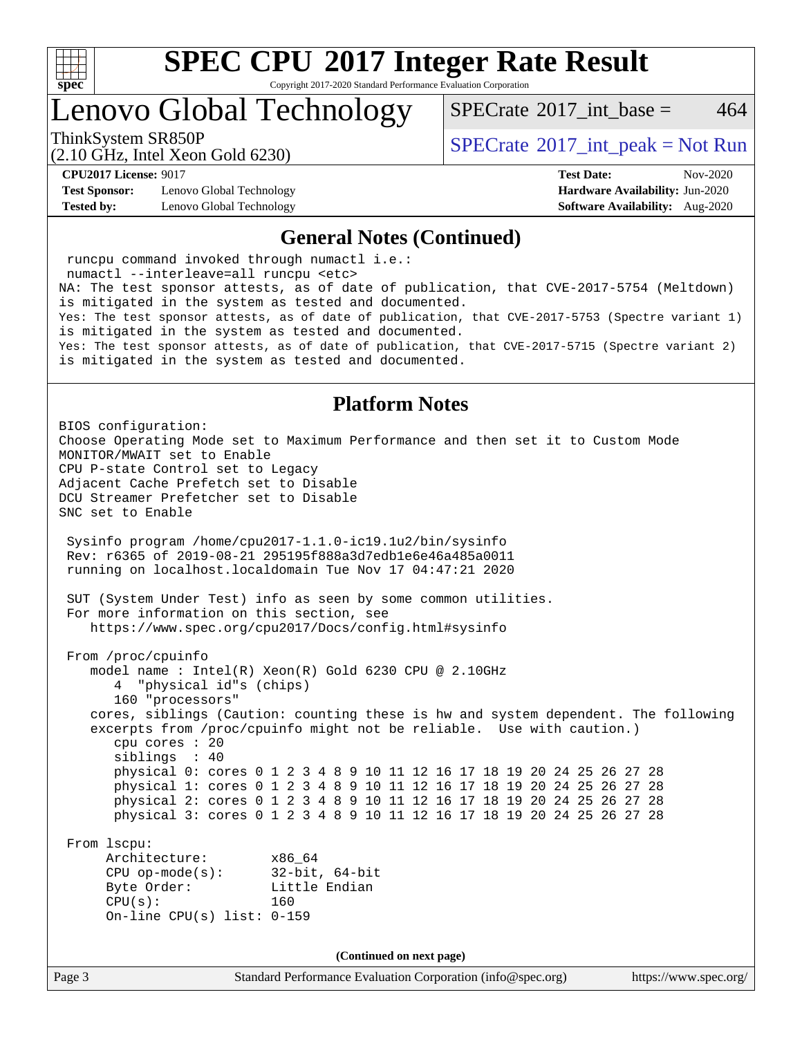

Copyright 2017-2020 Standard Performance Evaluation Corporation

Lenovo Global Technology

[SPECrate](http://www.spec.org/auto/cpu2017/Docs/result-fields.html#SPECrate2017intbase)<sup>®</sup>2017 int base = 464

(2.10 GHz, Intel Xeon Gold 6230)

ThinkSystem SR850P<br>  $\begin{array}{c}\n\text{SPECTB} \\
\text{SPECTB} \\
\text{SPECTB} \\
\text{SPECTB} \\
\end{array}$  [SPECrate](http://www.spec.org/auto/cpu2017/Docs/result-fields.html#SPECrate2017intpeak)®[2017\\_int\\_peak = N](http://www.spec.org/auto/cpu2017/Docs/result-fields.html#SPECrate2017intpeak)ot Run

**[Test Sponsor:](http://www.spec.org/auto/cpu2017/Docs/result-fields.html#TestSponsor)** Lenovo Global Technology **[Hardware Availability:](http://www.spec.org/auto/cpu2017/Docs/result-fields.html#HardwareAvailability)** Jun-2020 **[Tested by:](http://www.spec.org/auto/cpu2017/Docs/result-fields.html#Testedby)** Lenovo Global Technology **[Software Availability:](http://www.spec.org/auto/cpu2017/Docs/result-fields.html#SoftwareAvailability)** Aug-2020

**[CPU2017 License:](http://www.spec.org/auto/cpu2017/Docs/result-fields.html#CPU2017License)** 9017 **[Test Date:](http://www.spec.org/auto/cpu2017/Docs/result-fields.html#TestDate)** Nov-2020

#### **[General Notes \(Continued\)](http://www.spec.org/auto/cpu2017/Docs/result-fields.html#GeneralNotes)**

 runcpu command invoked through numactl i.e.: numactl --interleave=all runcpu <etc> NA: The test sponsor attests, as of date of publication, that CVE-2017-5754 (Meltdown) is mitigated in the system as tested and documented. Yes: The test sponsor attests, as of date of publication, that CVE-2017-5753 (Spectre variant 1) is mitigated in the system as tested and documented. Yes: The test sponsor attests, as of date of publication, that CVE-2017-5715 (Spectre variant 2) is mitigated in the system as tested and documented.

#### **[Platform Notes](http://www.spec.org/auto/cpu2017/Docs/result-fields.html#PlatformNotes)**

Page 3 Standard Performance Evaluation Corporation [\(info@spec.org\)](mailto:info@spec.org) <https://www.spec.org/> BIOS configuration: Choose Operating Mode set to Maximum Performance and then set it to Custom Mode MONITOR/MWAIT set to Enable CPU P-state Control set to Legacy Adjacent Cache Prefetch set to Disable DCU Streamer Prefetcher set to Disable SNC set to Enable Sysinfo program /home/cpu2017-1.1.0-ic19.1u2/bin/sysinfo Rev: r6365 of 2019-08-21 295195f888a3d7edb1e6e46a485a0011 running on localhost.localdomain Tue Nov 17 04:47:21 2020 SUT (System Under Test) info as seen by some common utilities. For more information on this section, see <https://www.spec.org/cpu2017/Docs/config.html#sysinfo> From /proc/cpuinfo model name : Intel(R) Xeon(R) Gold 6230 CPU @ 2.10GHz 4 "physical id"s (chips) 160 "processors" cores, siblings (Caution: counting these is hw and system dependent. The following excerpts from /proc/cpuinfo might not be reliable. Use with caution.) cpu cores : 20 siblings : 40 physical 0: cores 0 1 2 3 4 8 9 10 11 12 16 17 18 19 20 24 25 26 27 28 physical 1: cores 0 1 2 3 4 8 9 10 11 12 16 17 18 19 20 24 25 26 27 28 physical 2: cores 0 1 2 3 4 8 9 10 11 12 16 17 18 19 20 24 25 26 27 28 physical 3: cores 0 1 2 3 4 8 9 10 11 12 16 17 18 19 20 24 25 26 27 28 From lscpu: Architecture: x86\_64 CPU op-mode(s): 32-bit, 64-bit Byte Order: Little Endian CPU(s): 160 On-line CPU(s) list: 0-159 **(Continued on next page)**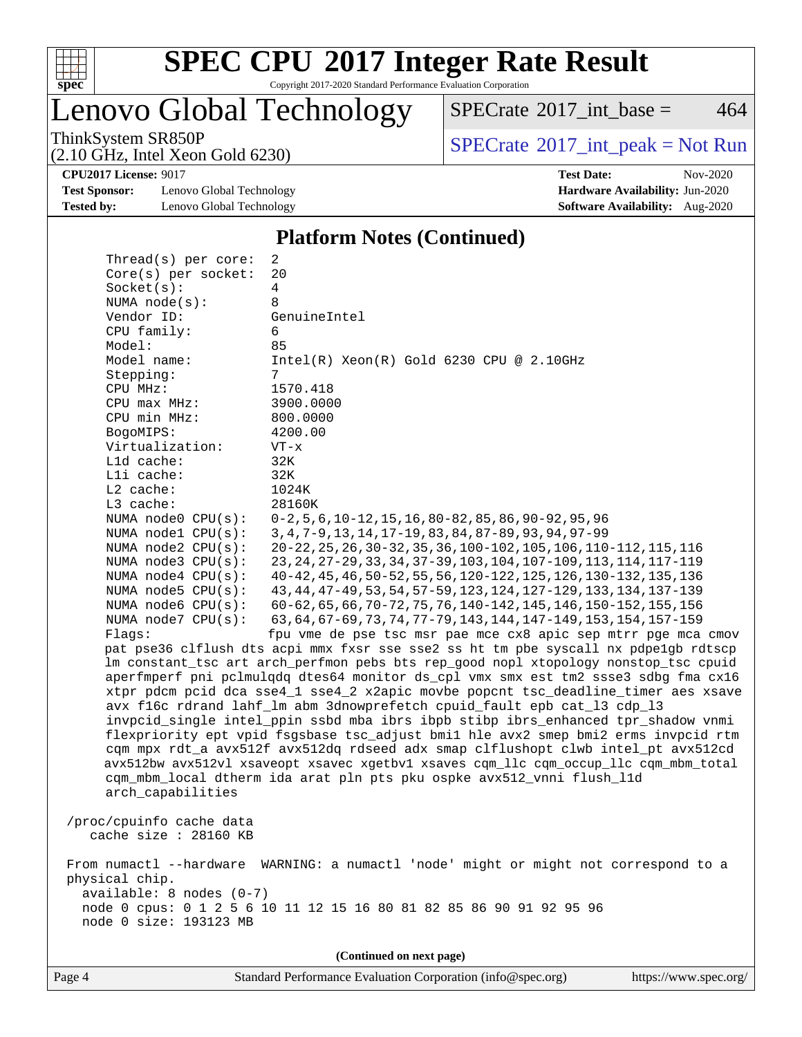

Copyright 2017-2020 Standard Performance Evaluation Corporation

Lenovo Global Technology

ThinkSystem SR850P<br>  $\begin{array}{c}\n\text{SPECTB} \\
\text{SPECTB} \\
\text{SPECTB} \\
\text{SPECTB} \\
\end{array}$  [SPECrate](http://www.spec.org/auto/cpu2017/Docs/result-fields.html#SPECrate2017intpeak)®[2017\\_int\\_peak = N](http://www.spec.org/auto/cpu2017/Docs/result-fields.html#SPECrate2017intpeak)ot Run  $SPECTate^{\circ}2017\_int\_base = 464$ 

(2.10 GHz, Intel Xeon Gold 6230)

**[CPU2017 License:](http://www.spec.org/auto/cpu2017/Docs/result-fields.html#CPU2017License)** 9017 **[Test Date:](http://www.spec.org/auto/cpu2017/Docs/result-fields.html#TestDate)** Nov-2020

**[Test Sponsor:](http://www.spec.org/auto/cpu2017/Docs/result-fields.html#TestSponsor)** Lenovo Global Technology **[Hardware Availability:](http://www.spec.org/auto/cpu2017/Docs/result-fields.html#HardwareAvailability)** Jun-2020 **[Tested by:](http://www.spec.org/auto/cpu2017/Docs/result-fields.html#Testedby)** Lenovo Global Technology **[Software Availability:](http://www.spec.org/auto/cpu2017/Docs/result-fields.html#SoftwareAvailability)** Aug-2020

#### **[Platform Notes \(Continued\)](http://www.spec.org/auto/cpu2017/Docs/result-fields.html#PlatformNotes)**

 Thread(s) per core: 2 Core(s) per socket: 20 Socket(s): 4 NUMA node(s): 8 Vendor ID: GenuineIntel CPU family: 6 Model: 85<br>Model name: 1n  $Intel(R)$  Xeon(R) Gold 6230 CPU @ 2.10GHz Stepping: 7 CPU MHz: 1570.418 CPU max MHz: 3900.0000 CPU min MHz: 800.0000 BogoMIPS: 4200.00 Virtualization: VT-x L1d cache: 32K L1i cache: 32K L2 cache: 1024K L3 cache: 28160K NUMA node0 CPU(s): 0-2,5,6,10-12,15,16,80-82,85,86,90-92,95,96 NUMA node1 CPU(s): 3,4,7-9,13,14,17-19,83,84,87-89,93,94,97-99 NUMA node2 CPU(s): 20-22,25,26,30-32,35,36,100-102,105,106,110-112,115,116 NUMA node3 CPU(s): 23,24,27-29,33,34,37-39,103,104,107-109,113,114,117-119 NUMA node4 CPU(s): 40-42,45,46,50-52,55,56,120-122,125,126,130-132,135,136 NUMA node5 CPU(s): 43,44,47-49,53,54,57-59,123,124,127-129,133,134,137-139 NUMA node6 CPU(s): 60-62,65,66,70-72,75,76,140-142,145,146,150-152,155,156 NUMA node7 CPU(s): 63,64,67-69,73,74,77-79,143,144,147-149,153,154,157-159 Flags: fpu vme de pse tsc msr pae mce cx8 apic sep mtrr pge mca cmov pat pse36 clflush dts acpi mmx fxsr sse sse2 ss ht tm pbe syscall nx pdpe1gb rdtscp lm constant\_tsc art arch\_perfmon pebs bts rep\_good nopl xtopology nonstop\_tsc cpuid aperfmperf pni pclmulqdq dtes64 monitor ds\_cpl vmx smx est tm2 ssse3 sdbg fma cx16 xtpr pdcm pcid dca sse4\_1 sse4\_2 x2apic movbe popcnt tsc\_deadline\_timer aes xsave avx f16c rdrand lahf\_lm abm 3dnowprefetch cpuid\_fault epb cat\_l3 cdp\_l3 invpcid\_single intel\_ppin ssbd mba ibrs ibpb stibp ibrs\_enhanced tpr\_shadow vnmi flexpriority ept vpid fsgsbase tsc\_adjust bmi1 hle avx2 smep bmi2 erms invpcid rtm cqm mpx rdt\_a avx512f avx512dq rdseed adx smap clflushopt clwb intel\_pt avx512cd avx512bw avx512vl xsaveopt xsavec xgetbv1 xsaves cqm\_llc cqm\_occup\_llc cqm\_mbm\_total cqm\_mbm\_local dtherm ida arat pln pts pku ospke avx512\_vnni flush\_l1d arch\_capabilities /proc/cpuinfo cache data cache size : 28160 KB From numactl --hardware WARNING: a numactl 'node' might or might not correspond to a physical chip. available: 8 nodes (0-7) node 0 cpus: 0 1 2 5 6 10 11 12 15 16 80 81 82 85 86 90 91 92 95 96 node 0 size: 193123 MB

**(Continued on next page)**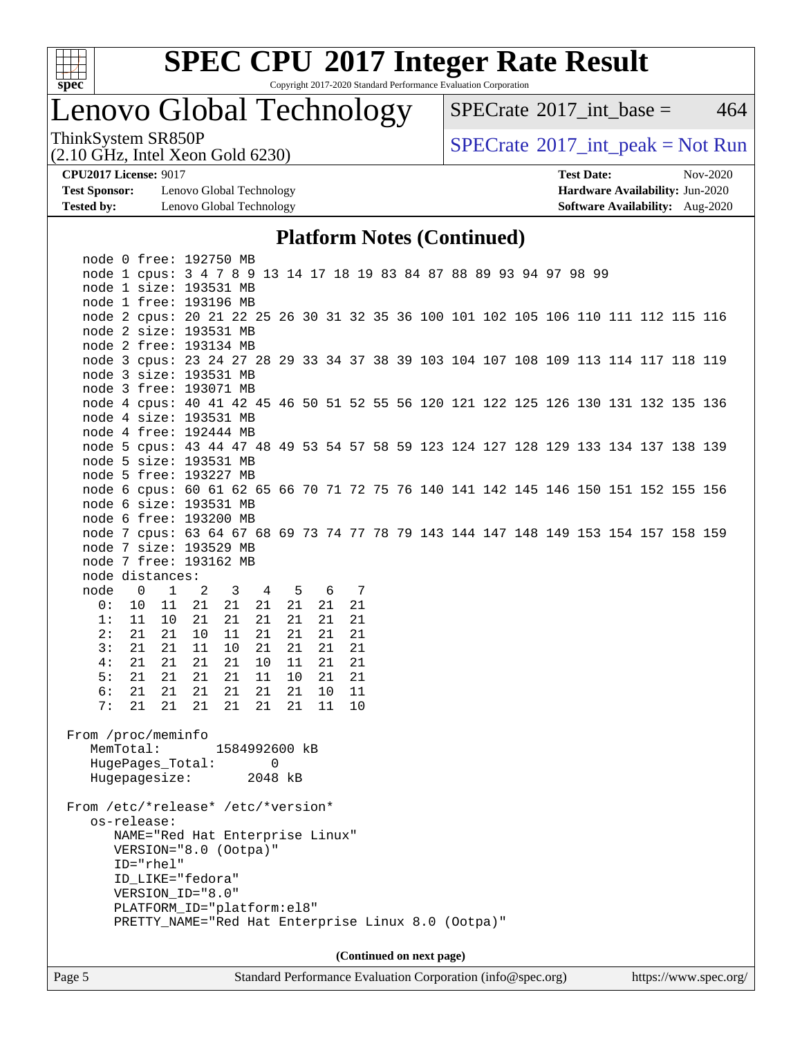

Copyright 2017-2020 Standard Performance Evaluation Corporation

### Lenovo Global Technology

 $SPECTate$ <sup>®</sup>[2017\\_int\\_base =](http://www.spec.org/auto/cpu2017/Docs/result-fields.html#SPECrate2017intbase) 464

(2.10 GHz, Intel Xeon Gold 6230)

ThinkSystem SR850P<br>  $(2.10 \text{ GHz})$  Intel Xeon Gold 6230)

**[Test Sponsor:](http://www.spec.org/auto/cpu2017/Docs/result-fields.html#TestSponsor)** Lenovo Global Technology **[Hardware Availability:](http://www.spec.org/auto/cpu2017/Docs/result-fields.html#HardwareAvailability)** Jun-2020 **[Tested by:](http://www.spec.org/auto/cpu2017/Docs/result-fields.html#Testedby)** Lenovo Global Technology **[Software Availability:](http://www.spec.org/auto/cpu2017/Docs/result-fields.html#SoftwareAvailability)** Aug-2020

**[CPU2017 License:](http://www.spec.org/auto/cpu2017/Docs/result-fields.html#CPU2017License)** 9017 **[Test Date:](http://www.spec.org/auto/cpu2017/Docs/result-fields.html#TestDate)** Nov-2020

### **[Platform Notes \(Continued\)](http://www.spec.org/auto/cpu2017/Docs/result-fields.html#PlatformNotes)**

|                                    | PRETTY_NAME="Red Hat Enterprise Linux 8.0 (Ootpa)"                                                           |                      |         |               |    |    |       |    |    |  |  |  |  |  |  |
|------------------------------------|--------------------------------------------------------------------------------------------------------------|----------------------|---------|---------------|----|----|-------|----|----|--|--|--|--|--|--|
|                                    | PLATFORM_ID="platform:el8"                                                                                   |                      |         |               |    |    |       |    |    |  |  |  |  |  |  |
|                                    | VERSION_ID="8.0"                                                                                             |                      |         |               |    |    |       |    |    |  |  |  |  |  |  |
|                                    | ID_LIKE="fedora"                                                                                             |                      |         |               |    |    |       |    |    |  |  |  |  |  |  |
|                                    | ID="rhel"                                                                                                    |                      |         |               |    |    |       |    |    |  |  |  |  |  |  |
|                                    | NAME="Red Hat Enterprise Linux"<br>VERSION="8.0 (Ootpa)"                                                     |                      |         |               |    |    |       |    |    |  |  |  |  |  |  |
|                                    | os-release:                                                                                                  |                      |         |               |    |    |       |    |    |  |  |  |  |  |  |
| From /etc/*release* /etc/*version* |                                                                                                              |                      |         |               |    |    |       |    |    |  |  |  |  |  |  |
|                                    |                                                                                                              |                      |         |               |    |    |       |    |    |  |  |  |  |  |  |
|                                    | HugePages_Total:<br>Hugepagesize: 2048 kB                                                                    |                      |         |               | 0  |    |       |    |    |  |  |  |  |  |  |
|                                    | MemTotal:                                                                                                    |                      |         | 1584992600 kB |    |    |       |    |    |  |  |  |  |  |  |
| From /proc/meminfo                 |                                                                                                              |                      |         |               |    |    |       |    |    |  |  |  |  |  |  |
|                                    |                                                                                                              |                      |         |               |    |    |       |    |    |  |  |  |  |  |  |
| 7:                                 | 21                                                                                                           | 21                   | 21      | 21            | 21 | 21 |       | 11 | 10 |  |  |  |  |  |  |
| 6 :                                | 21                                                                                                           | 21                   | 21      | 21            | 21 | 21 |       | 10 | 11 |  |  |  |  |  |  |
| 5:                                 | 21                                                                                                           | 21                   | 21      | 21            | 11 | 10 |       | 21 | 21 |  |  |  |  |  |  |
| 4:                                 | 21                                                                                                           |                      | 21 21   | 21            | 10 | 11 |       | 21 | 21 |  |  |  |  |  |  |
| 3:                                 | 21                                                                                                           |                      | 21 11   | 10            | 21 | 21 |       | 21 | 21 |  |  |  |  |  |  |
| 2:                                 | 21                                                                                                           | 21                   | 10      | 11            | 21 | 21 |       | 21 | 21 |  |  |  |  |  |  |
| 1:                                 | 11                                                                                                           |                      | 10 21   | 21            | 21 | 21 |       | 21 | 21 |  |  |  |  |  |  |
| 0:                                 | $\overline{0}$<br>10                                                                                         | $\overline{1}$<br>11 | 2<br>21 | 3 4<br>21     | 21 | 21 | 5 6 7 | 21 | 21 |  |  |  |  |  |  |
| node                               | node distances:                                                                                              |                      |         |               |    |    |       |    |    |  |  |  |  |  |  |
|                                    | node 7 free: 193162 MB                                                                                       |                      |         |               |    |    |       |    |    |  |  |  |  |  |  |
|                                    | node 7 size: 193529 MB                                                                                       |                      |         |               |    |    |       |    |    |  |  |  |  |  |  |
|                                    | node 7 cpus: 63 64 67 68 69 73 74 77 78 79 143 144 147 148 149 153 154 157 158 159                           |                      |         |               |    |    |       |    |    |  |  |  |  |  |  |
|                                    | node 6 free: 193200 MB                                                                                       |                      |         |               |    |    |       |    |    |  |  |  |  |  |  |
|                                    | node 6 size: 193531 MB                                                                                       |                      |         |               |    |    |       |    |    |  |  |  |  |  |  |
|                                    | node 6 cpus: 60 61 62 65 66 70 71 72 75 76 140 141 142 145 146 150 151 152 155 156                           |                      |         |               |    |    |       |    |    |  |  |  |  |  |  |
|                                    | node 5 free: 193227 MB                                                                                       |                      |         |               |    |    |       |    |    |  |  |  |  |  |  |
|                                    | node 5 size: 193531 MB                                                                                       |                      |         |               |    |    |       |    |    |  |  |  |  |  |  |
|                                    | node 5 cpus: 43 44 47 48 49 53 54 57 58 59 123 124 127 128 129 133 134 137 138 139                           |                      |         |               |    |    |       |    |    |  |  |  |  |  |  |
|                                    | node 4 free: 192444 MB                                                                                       |                      |         |               |    |    |       |    |    |  |  |  |  |  |  |
|                                    | node 4 cpus: 40 41 42 45 46 50 51 52 55 56 120 121 122 125 126 130 131 132 135 136<br>node 4 size: 193531 MB |                      |         |               |    |    |       |    |    |  |  |  |  |  |  |
|                                    | node 3 free: 193071 MB                                                                                       |                      |         |               |    |    |       |    |    |  |  |  |  |  |  |
|                                    | node 3 size: 193531 MB                                                                                       |                      |         |               |    |    |       |    |    |  |  |  |  |  |  |
|                                    | node 3 cpus: 23 24 27 28 29 33 34 37 38 39 103 104 107 108 109 113 114 117 118 119                           |                      |         |               |    |    |       |    |    |  |  |  |  |  |  |
|                                    | node 2 free: 193134 MB                                                                                       |                      |         |               |    |    |       |    |    |  |  |  |  |  |  |
|                                    | node 2 size: 193531 MB                                                                                       |                      |         |               |    |    |       |    |    |  |  |  |  |  |  |
|                                    | node 2 cpus: 20 21 22 25 26 30 31 32 35 36 100 101 102 105 106 110 111 112 115 116                           |                      |         |               |    |    |       |    |    |  |  |  |  |  |  |
|                                    | node 1 free: 193196 MB                                                                                       |                      |         |               |    |    |       |    |    |  |  |  |  |  |  |
|                                    | node 1 size: 193531 MB                                                                                       |                      |         |               |    |    |       |    |    |  |  |  |  |  |  |
|                                    | node 0 free: 192750 MB<br>node 1 cpus: 3 4 7 8 9 13 14 17 18 19 83 84 87 88 89 93 94 97 98 99                |                      |         |               |    |    |       |    |    |  |  |  |  |  |  |
|                                    |                                                                                                              |                      |         |               |    |    |       |    |    |  |  |  |  |  |  |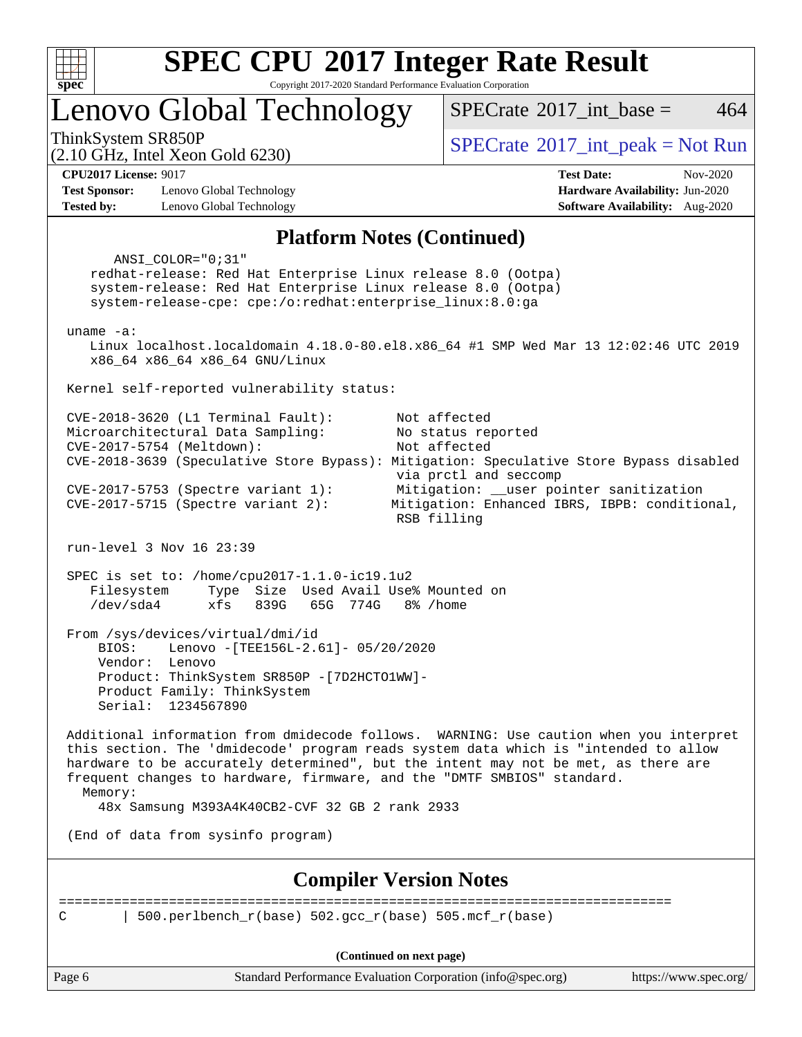

Copyright 2017-2020 Standard Performance Evaluation Corporation

Lenovo Global Technology

 $SPECTate$ <sup>®</sup>[2017\\_int\\_peak = N](http://www.spec.org/auto/cpu2017/Docs/result-fields.html#SPECrate2017intpeak)ot Run

[SPECrate](http://www.spec.org/auto/cpu2017/Docs/result-fields.html#SPECrate2017intbase)<sup>®</sup>2017 int base = 464

(2.10 GHz, Intel Xeon Gold 6230)

**[CPU2017 License:](http://www.spec.org/auto/cpu2017/Docs/result-fields.html#CPU2017License)** 9017 **[Test Date:](http://www.spec.org/auto/cpu2017/Docs/result-fields.html#TestDate)** Nov-2020 **[Test Sponsor:](http://www.spec.org/auto/cpu2017/Docs/result-fields.html#TestSponsor)** Lenovo Global Technology **[Hardware Availability:](http://www.spec.org/auto/cpu2017/Docs/result-fields.html#HardwareAvailability)** Jun-2020 **[Tested by:](http://www.spec.org/auto/cpu2017/Docs/result-fields.html#Testedby)** Lenovo Global Technology **[Software Availability:](http://www.spec.org/auto/cpu2017/Docs/result-fields.html#SoftwareAvailability)** Aug-2020

### **[Platform Notes \(Continued\)](http://www.spec.org/auto/cpu2017/Docs/result-fields.html#PlatformNotes)**

Page 6 Standard Performance Evaluation Corporation [\(info@spec.org\)](mailto:info@spec.org) <https://www.spec.org/> ANSI\_COLOR="0;31" redhat-release: Red Hat Enterprise Linux release 8.0 (Ootpa) system-release: Red Hat Enterprise Linux release 8.0 (Ootpa) system-release-cpe: cpe:/o:redhat:enterprise\_linux:8.0:ga uname -a: Linux localhost.localdomain 4.18.0-80.el8.x86\_64 #1 SMP Wed Mar 13 12:02:46 UTC 2019 x86\_64 x86\_64 x86\_64 GNU/Linux Kernel self-reported vulnerability status: CVE-2018-3620 (L1 Terminal Fault): Not affected Microarchitectural Data Sampling: No status reported CVE-2017-5754 (Meltdown): Not affected CVE-2018-3639 (Speculative Store Bypass): Mitigation: Speculative Store Bypass disabled via prctl and seccomp CVE-2017-5753 (Spectre variant 1): Mitigation: \_\_user pointer sanitization CVE-2017-5715 (Spectre variant 2): Mitigation: Enhanced IBRS, IBPB: conditional, RSB filling run-level 3 Nov 16 23:39 SPEC is set to: /home/cpu2017-1.1.0-ic19.1u2 Filesystem Type Size Used Avail Use% Mounted on /dev/sda4 xfs 839G 65G 774G 8% /home From /sys/devices/virtual/dmi/id BIOS: Lenovo -[TEE156L-2.61]- 05/20/2020 Vendor: Lenovo Product: ThinkSystem SR850P -[7D2HCTO1WW]- Product Family: ThinkSystem Serial: 1234567890 Additional information from dmidecode follows. WARNING: Use caution when you interpret this section. The 'dmidecode' program reads system data which is "intended to allow hardware to be accurately determined", but the intent may not be met, as there are frequent changes to hardware, firmware, and the "DMTF SMBIOS" standard. Memory: 48x Samsung M393A4K40CB2-CVF 32 GB 2 rank 2933 (End of data from sysinfo program) **[Compiler Version Notes](http://www.spec.org/auto/cpu2017/Docs/result-fields.html#CompilerVersionNotes)** ============================================================================== C | 500.perlbench r(base) 502.gcc r(base) 505.mcf r(base) **(Continued on next page)**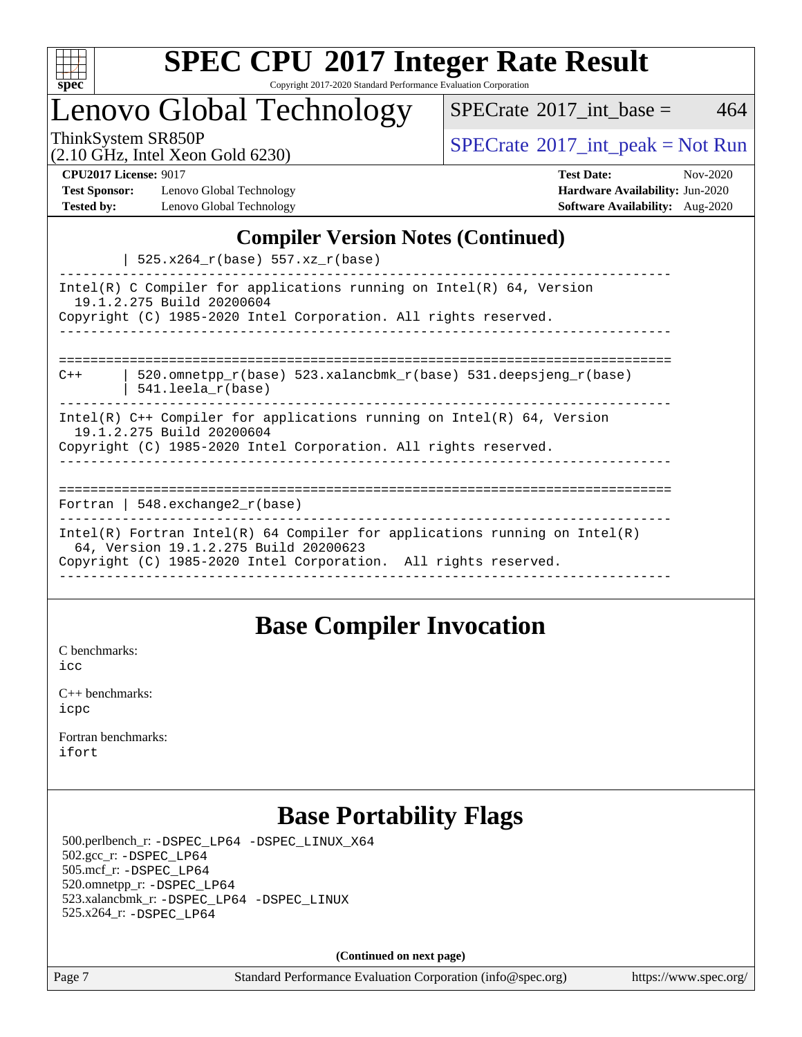

Copyright 2017-2020 Standard Performance Evaluation Corporation

Lenovo Global Technology

 $SPECTate$ <sup>®</sup>[2017\\_int\\_base =](http://www.spec.org/auto/cpu2017/Docs/result-fields.html#SPECrate2017intbase) 464

(2.10 GHz, Intel Xeon Gold 6230)

ThinkSystem SR850P<br>  $(2.10 \text{ GHz}_{\text{total}} \text{ York})$  [SPECrate](http://www.spec.org/auto/cpu2017/Docs/result-fields.html#SPECrate2017intpeak)®[2017\\_int\\_peak = N](http://www.spec.org/auto/cpu2017/Docs/result-fields.html#SPECrate2017intpeak)ot Run

**[Test Sponsor:](http://www.spec.org/auto/cpu2017/Docs/result-fields.html#TestSponsor)** Lenovo Global Technology **[Hardware Availability:](http://www.spec.org/auto/cpu2017/Docs/result-fields.html#HardwareAvailability)** Jun-2020 **[Tested by:](http://www.spec.org/auto/cpu2017/Docs/result-fields.html#Testedby)** Lenovo Global Technology **[Software Availability:](http://www.spec.org/auto/cpu2017/Docs/result-fields.html#SoftwareAvailability)** Aug-2020

**[CPU2017 License:](http://www.spec.org/auto/cpu2017/Docs/result-fields.html#CPU2017License)** 9017 **[Test Date:](http://www.spec.org/auto/cpu2017/Docs/result-fields.html#TestDate)** Nov-2020

### **[Compiler Version Notes \(Continued\)](http://www.spec.org/auto/cpu2017/Docs/result-fields.html#CompilerVersionNotes)**

| 525.x264\_r(base) 557.xz\_r(base)

| $520.11201 - 1000007$ $557.112 - 1000007$                                                                                                                                              |
|----------------------------------------------------------------------------------------------------------------------------------------------------------------------------------------|
| Intel(R) C Compiler for applications running on Intel(R) $64$ , Version<br>19.1.2.275 Build 20200604<br>Copyright (C) 1985-2020 Intel Corporation. All rights reserved.                |
| 520.omnetpp $r(base)$ 523.xalancbmk $r(base)$ 531.deepsjeng $r(base)$<br>$C++$<br>541.leela r(base)                                                                                    |
| $Intel(R)$ C++ Compiler for applications running on $Intel(R)$ 64, Version<br>19.1.2.275 Build 20200604<br>Copyright (C) 1985-2020 Intel Corporation. All rights reserved.             |
| Fortran   548.exchange2 $r(base)$                                                                                                                                                      |
| Intel(R) Fortran Intel(R) 64 Compiler for applications running on Intel(R)<br>64, Version 19.1.2.275 Build 20200623<br>Copyright (C) 1985-2020 Intel Corporation. All rights reserved. |

### **[Base Compiler Invocation](http://www.spec.org/auto/cpu2017/Docs/result-fields.html#BaseCompilerInvocation)**

[C benchmarks](http://www.spec.org/auto/cpu2017/Docs/result-fields.html#Cbenchmarks):  $i$ cc

[C++ benchmarks:](http://www.spec.org/auto/cpu2017/Docs/result-fields.html#CXXbenchmarks) [icpc](http://www.spec.org/cpu2017/results/res2020q4/cpu2017-20201123-24442.flags.html#user_CXXbase_intel_icpc_c510b6838c7f56d33e37e94d029a35b4a7bccf4766a728ee175e80a419847e808290a9b78be685c44ab727ea267ec2f070ec5dc83b407c0218cded6866a35d07)

[Fortran benchmarks](http://www.spec.org/auto/cpu2017/Docs/result-fields.html#Fortranbenchmarks): [ifort](http://www.spec.org/cpu2017/results/res2020q4/cpu2017-20201123-24442.flags.html#user_FCbase_intel_ifort_8111460550e3ca792625aed983ce982f94888b8b503583aa7ba2b8303487b4d8a21a13e7191a45c5fd58ff318f48f9492884d4413fa793fd88dd292cad7027ca)

### **[Base Portability Flags](http://www.spec.org/auto/cpu2017/Docs/result-fields.html#BasePortabilityFlags)**

 500.perlbench\_r: [-DSPEC\\_LP64](http://www.spec.org/cpu2017/results/res2020q4/cpu2017-20201123-24442.flags.html#b500.perlbench_r_basePORTABILITY_DSPEC_LP64) [-DSPEC\\_LINUX\\_X64](http://www.spec.org/cpu2017/results/res2020q4/cpu2017-20201123-24442.flags.html#b500.perlbench_r_baseCPORTABILITY_DSPEC_LINUX_X64) 502.gcc\_r: [-DSPEC\\_LP64](http://www.spec.org/cpu2017/results/res2020q4/cpu2017-20201123-24442.flags.html#suite_basePORTABILITY502_gcc_r_DSPEC_LP64) 505.mcf\_r: [-DSPEC\\_LP64](http://www.spec.org/cpu2017/results/res2020q4/cpu2017-20201123-24442.flags.html#suite_basePORTABILITY505_mcf_r_DSPEC_LP64) 520.omnetpp\_r: [-DSPEC\\_LP64](http://www.spec.org/cpu2017/results/res2020q4/cpu2017-20201123-24442.flags.html#suite_basePORTABILITY520_omnetpp_r_DSPEC_LP64) 523.xalancbmk\_r: [-DSPEC\\_LP64](http://www.spec.org/cpu2017/results/res2020q4/cpu2017-20201123-24442.flags.html#suite_basePORTABILITY523_xalancbmk_r_DSPEC_LP64) [-DSPEC\\_LINUX](http://www.spec.org/cpu2017/results/res2020q4/cpu2017-20201123-24442.flags.html#b523.xalancbmk_r_baseCXXPORTABILITY_DSPEC_LINUX) 525.x264\_r: [-DSPEC\\_LP64](http://www.spec.org/cpu2017/results/res2020q4/cpu2017-20201123-24442.flags.html#suite_basePORTABILITY525_x264_r_DSPEC_LP64)

**(Continued on next page)**

Page 7 Standard Performance Evaluation Corporation [\(info@spec.org\)](mailto:info@spec.org) <https://www.spec.org/>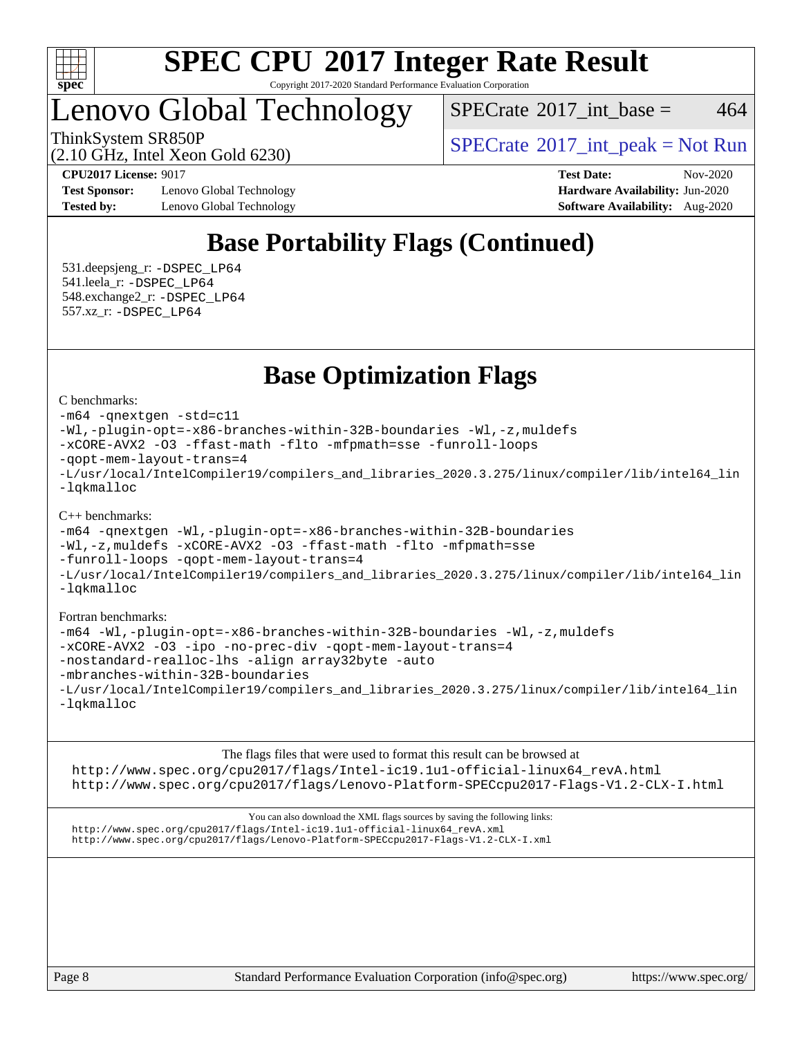

Copyright 2017-2020 Standard Performance Evaluation Corporation

### Lenovo Global Technology

 $SPECTate$ <sup>®</sup>[2017\\_int\\_base =](http://www.spec.org/auto/cpu2017/Docs/result-fields.html#SPECrate2017intbase) 464

ThinkSystem SR850P<br>  $\begin{array}{c}\n\text{SPECTB} \\
\text{SPECTB} \\
\text{SPECTB} \\
\text{SPECTB} \\
\end{array}$  [SPECrate](http://www.spec.org/auto/cpu2017/Docs/result-fields.html#SPECrate2017intpeak)®[2017\\_int\\_peak = N](http://www.spec.org/auto/cpu2017/Docs/result-fields.html#SPECrate2017intpeak)ot Run

(2.10 GHz, Intel Xeon Gold 6230)

**[Test Sponsor:](http://www.spec.org/auto/cpu2017/Docs/result-fields.html#TestSponsor)** Lenovo Global Technology **[Hardware Availability:](http://www.spec.org/auto/cpu2017/Docs/result-fields.html#HardwareAvailability)** Jun-2020 **[Tested by:](http://www.spec.org/auto/cpu2017/Docs/result-fields.html#Testedby)** Lenovo Global Technology **[Software Availability:](http://www.spec.org/auto/cpu2017/Docs/result-fields.html#SoftwareAvailability)** Aug-2020

**[CPU2017 License:](http://www.spec.org/auto/cpu2017/Docs/result-fields.html#CPU2017License)** 9017 **[Test Date:](http://www.spec.org/auto/cpu2017/Docs/result-fields.html#TestDate)** Nov-2020

### **[Base Portability Flags \(Continued\)](http://www.spec.org/auto/cpu2017/Docs/result-fields.html#BasePortabilityFlags)**

 531.deepsjeng\_r: [-DSPEC\\_LP64](http://www.spec.org/cpu2017/results/res2020q4/cpu2017-20201123-24442.flags.html#suite_basePORTABILITY531_deepsjeng_r_DSPEC_LP64) 541.leela\_r: [-DSPEC\\_LP64](http://www.spec.org/cpu2017/results/res2020q4/cpu2017-20201123-24442.flags.html#suite_basePORTABILITY541_leela_r_DSPEC_LP64) 548.exchange2\_r: [-DSPEC\\_LP64](http://www.spec.org/cpu2017/results/res2020q4/cpu2017-20201123-24442.flags.html#suite_basePORTABILITY548_exchange2_r_DSPEC_LP64) 557.xz\_r: [-DSPEC\\_LP64](http://www.spec.org/cpu2017/results/res2020q4/cpu2017-20201123-24442.flags.html#suite_basePORTABILITY557_xz_r_DSPEC_LP64)

### **[Base Optimization Flags](http://www.spec.org/auto/cpu2017/Docs/result-fields.html#BaseOptimizationFlags)**

[C benchmarks](http://www.spec.org/auto/cpu2017/Docs/result-fields.html#Cbenchmarks):

```
-m64 -qnextgen -std=c11
-Wl,-plugin-opt=-x86-branches-within-32B-boundaries -Wl,-z,muldefs
-xCORE-AVX2 -O3 -ffast-math -flto -mfpmath=sse -funroll-loops
-qopt-mem-layout-trans=4
-L/usr/local/IntelCompiler19/compilers_and_libraries_2020.3.275/linux/compiler/lib/intel64_lin
-lqkmalloc
```
#### [C++ benchmarks](http://www.spec.org/auto/cpu2017/Docs/result-fields.html#CXXbenchmarks):

```
-m64 -qnextgen -Wl,-plugin-opt=-x86-branches-within-32B-boundaries
-Wl,-z,muldefs -xCORE-AVX2 -O3 -ffast-math -flto -mfpmath=sse
-funroll-loops -qopt-mem-layout-trans=4
-L/usr/local/IntelCompiler19/compilers_and_libraries_2020.3.275/linux/compiler/lib/intel64_lin
-lqkmalloc
```
#### [Fortran benchmarks:](http://www.spec.org/auto/cpu2017/Docs/result-fields.html#Fortranbenchmarks)

```
-m64 -Wl,-plugin-opt=-x86-branches-within-32B-boundaries -Wl,-z,muldefs
-xCORE-AVX2 -O3 -ipo -no-prec-div -qopt-mem-layout-trans=4
-nostandard-realloc-lhs -align array32byte -auto
-mbranches-within-32B-boundaries
-L/usr/local/IntelCompiler19/compilers_and_libraries_2020.3.275/linux/compiler/lib/intel64_lin
-lqkmalloc
```
[The flags files that were used to format this result can be browsed at](tmsearch)

[http://www.spec.org/cpu2017/flags/Intel-ic19.1u1-official-linux64\\_revA.html](http://www.spec.org/cpu2017/flags/Intel-ic19.1u1-official-linux64_revA.html) <http://www.spec.org/cpu2017/flags/Lenovo-Platform-SPECcpu2017-Flags-V1.2-CLX-I.html>

[You can also download the XML flags sources by saving the following links:](tmsearch) [http://www.spec.org/cpu2017/flags/Intel-ic19.1u1-official-linux64\\_revA.xml](http://www.spec.org/cpu2017/flags/Intel-ic19.1u1-official-linux64_revA.xml) <http://www.spec.org/cpu2017/flags/Lenovo-Platform-SPECcpu2017-Flags-V1.2-CLX-I.xml>